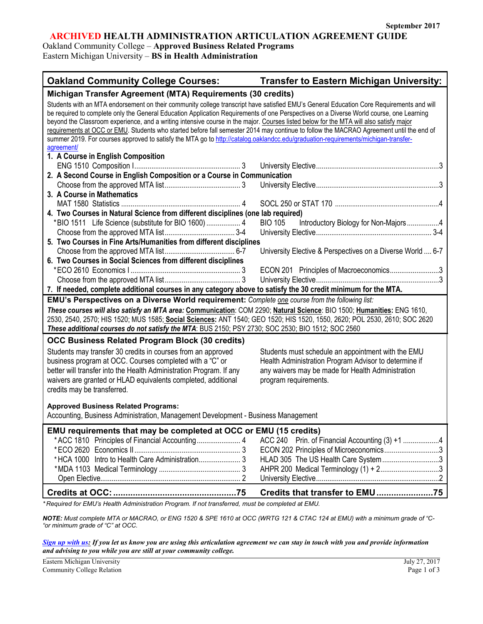# **ARCHIVED HEALTH ADMINISTRATION ARTICULATION AGREEMENT GUIDE**

Oakland Community College – **Approved Business Related Programs** Eastern Michigan University – **BS in Health Administration**

| <b>Oakland Community College Courses:</b>                                                                                                                                                                                                                                                                                                                                                                                                                                                                                                                                                                                                                                                                                    | <b>Transfer to Eastern Michigan University:</b>                                                                                                                                           |  |
|------------------------------------------------------------------------------------------------------------------------------------------------------------------------------------------------------------------------------------------------------------------------------------------------------------------------------------------------------------------------------------------------------------------------------------------------------------------------------------------------------------------------------------------------------------------------------------------------------------------------------------------------------------------------------------------------------------------------------|-------------------------------------------------------------------------------------------------------------------------------------------------------------------------------------------|--|
| Michigan Transfer Agreement (MTA) Requirements (30 credits)                                                                                                                                                                                                                                                                                                                                                                                                                                                                                                                                                                                                                                                                  |                                                                                                                                                                                           |  |
| Students with an MTA endorsement on their community college transcript have satisfied EMU's General Education Core Requirements and will<br>be required to complete only the General Education Application Requirements of one Perspectives on a Diverse World course, one Learning<br>beyond the Classroom experience, and a writing intensive course in the major. Courses listed below for the MTA will also satisfy major<br>requirements at OCC or EMU. Students who started before fall semester 2014 may continue to follow the MACRAO Agreement until the end of<br>summer 2019. For courses approved to satisfy the MTA go to http://catalog.oaklandcc.edu/graduation-requirements/michigan-transfer-<br>agreement/ |                                                                                                                                                                                           |  |
| 1. A Course in English Composition                                                                                                                                                                                                                                                                                                                                                                                                                                                                                                                                                                                                                                                                                           |                                                                                                                                                                                           |  |
|                                                                                                                                                                                                                                                                                                                                                                                                                                                                                                                                                                                                                                                                                                                              |                                                                                                                                                                                           |  |
| 2. A Second Course in English Composition or a Course in Communication                                                                                                                                                                                                                                                                                                                                                                                                                                                                                                                                                                                                                                                       |                                                                                                                                                                                           |  |
|                                                                                                                                                                                                                                                                                                                                                                                                                                                                                                                                                                                                                                                                                                                              |                                                                                                                                                                                           |  |
| 3. A Course in Mathematics                                                                                                                                                                                                                                                                                                                                                                                                                                                                                                                                                                                                                                                                                                   |                                                                                                                                                                                           |  |
|                                                                                                                                                                                                                                                                                                                                                                                                                                                                                                                                                                                                                                                                                                                              |                                                                                                                                                                                           |  |
| 4. Two Courses in Natural Science from different disciplines (one lab required)                                                                                                                                                                                                                                                                                                                                                                                                                                                                                                                                                                                                                                              |                                                                                                                                                                                           |  |
| *BIO 1511 Life Science (substitute for BIO 1600)  4<br><b>BIO 105</b>                                                                                                                                                                                                                                                                                                                                                                                                                                                                                                                                                                                                                                                        | Introductory Biology for Non-Majors4                                                                                                                                                      |  |
|                                                                                                                                                                                                                                                                                                                                                                                                                                                                                                                                                                                                                                                                                                                              |                                                                                                                                                                                           |  |
| 5. Two Courses in Fine Arts/Humanities from different disciplines                                                                                                                                                                                                                                                                                                                                                                                                                                                                                                                                                                                                                                                            |                                                                                                                                                                                           |  |
|                                                                                                                                                                                                                                                                                                                                                                                                                                                                                                                                                                                                                                                                                                                              | University Elective & Perspectives on a Diverse World  6-7                                                                                                                                |  |
| 6. Two Courses in Social Sciences from different disciplines                                                                                                                                                                                                                                                                                                                                                                                                                                                                                                                                                                                                                                                                 |                                                                                                                                                                                           |  |
|                                                                                                                                                                                                                                                                                                                                                                                                                                                                                                                                                                                                                                                                                                                              | ECON 201 Principles of Macroeconomics3                                                                                                                                                    |  |
|                                                                                                                                                                                                                                                                                                                                                                                                                                                                                                                                                                                                                                                                                                                              |                                                                                                                                                                                           |  |
| 7. If needed, complete additional courses in any category above to satisfy the 30 credit minimum for the MTA.                                                                                                                                                                                                                                                                                                                                                                                                                                                                                                                                                                                                                |                                                                                                                                                                                           |  |
| EMU's Perspectives on a Diverse World requirement: Complete one course from the following list:                                                                                                                                                                                                                                                                                                                                                                                                                                                                                                                                                                                                                              |                                                                                                                                                                                           |  |
| These courses will also satisfy an MTA area: Communication: COM 2290; Natural Science: BIO 1500; Humanities: ENG 1610,<br>2530, 2540, 2570; HIS 1520; MUS 1585; Social Sciences: ANT 1540; GEO 1520; HIS 1520, 1550, 2620; POL 2530, 2610; SOC 2620<br>These additional courses do not satisfy the MTA: BUS 2150; PSY 2730; SOC 2530; BIO 1512; SOC 2560                                                                                                                                                                                                                                                                                                                                                                     |                                                                                                                                                                                           |  |
| <b>OCC Business Related Program Block (30 credits)</b>                                                                                                                                                                                                                                                                                                                                                                                                                                                                                                                                                                                                                                                                       |                                                                                                                                                                                           |  |
| Students may transfer 30 credits in courses from an approved<br>business program at OCC. Courses completed with a "C" or<br>better will transfer into the Health Administration Program. If any<br>waivers are granted or HLAD equivalents completed, additional<br>credits may be transferred.                                                                                                                                                                                                                                                                                                                                                                                                                              | Students must schedule an appointment with the EMU<br>Health Administration Program Advisor to determine if<br>any waivers may be made for Health Administration<br>program requirements. |  |
| <b>Approved Business Related Programs:</b><br>Accounting, Business Administration, Management Development - Business Management                                                                                                                                                                                                                                                                                                                                                                                                                                                                                                                                                                                              |                                                                                                                                                                                           |  |
| EMU requirements that may be completed at OCC or EMU (15 credits)<br>*ACC 1810 Principles of Financial Accounting 4<br>*HCA 1000 Intro to Health Care Administration 3                                                                                                                                                                                                                                                                                                                                                                                                                                                                                                                                                       | ECON 202 Principles of Microeconomics3<br>HLAD 305 The US Health Care System 3<br>AHPR 200 Medical Terminology (1) + 23                                                                   |  |
|                                                                                                                                                                                                                                                                                                                                                                                                                                                                                                                                                                                                                                                                                                                              | Credits that transfer to EMU75                                                                                                                                                            |  |

*\* Required for EMU's Health Administration Program. If not transferred, must be completed at EMU.*

*NOTE: Must complete MTA or MACRAO, or ENG 1520 & SPE 1610 at OCC (WRTG 121 & CTAC 124 at EMU) with a minimum grade of "C- "or minimum grade of "C" at OCC.*

*[Sign up with us:](https://www.emich.edu/ccr/articulation-agreements/signup.php) If you let us know you are using this articulation agreement we can stay in touch with you and provide information and advising to you while you are still at your community college.*

Eastern Michigan University July 27, 2017 Community College Relation Page 1 of 3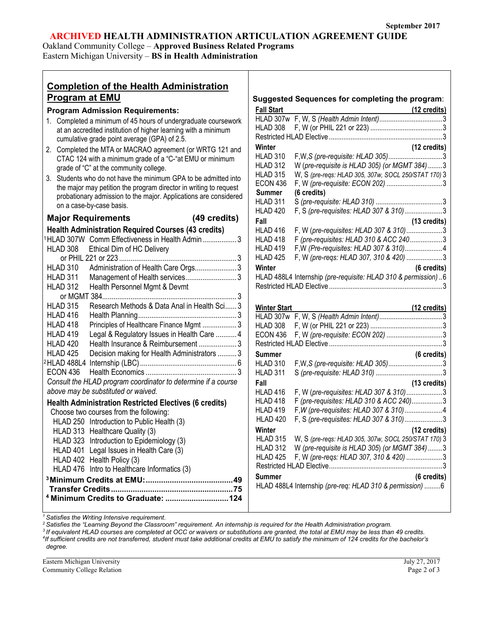## **ARCHIVED HEALTH ADMINISTRATION ARTICULATION AGREEMENT GUIDE**

Oakland Community College – **Approved Business Related Programs** Eastern Michigan University – **BS in Health Administration**

**Completion of the Health Administration** 

| <b>Program at EMU</b>                                                                                                                                                                                                                | Suggested Sequences for completing the program:                                                                                                                                                                             |
|--------------------------------------------------------------------------------------------------------------------------------------------------------------------------------------------------------------------------------------|-----------------------------------------------------------------------------------------------------------------------------------------------------------------------------------------------------------------------------|
| <b>Program Admission Requirements:</b>                                                                                                                                                                                               | <b>Fall Start</b><br>(12 credits)                                                                                                                                                                                           |
| 1. Completed a minimum of 45 hours of undergraduate coursework<br>at an accredited institution of higher learning with a minimum<br>cumulative grade point average (GPA) of 2.5.                                                     | HLAD 308                                                                                                                                                                                                                    |
| 2. Completed the MTA or MACRAO agreement (or WRTG 121 and<br>CTAC 124 with a minimum grade of a "C-"at EMU or minimum<br>grade of "C" at the community college.                                                                      | (12 credits)<br>Winter<br><b>HLAD 310</b><br>W (pre-requisite is HLAD 305) (or MGMT 384) 3<br><b>HLAD 312</b>                                                                                                               |
| 3. Students who do not have the minimum GPA to be admitted into<br>the major may petition the program director in writing to request<br>probationary admission to the major. Applications are considered<br>on a case-by-case basis. | <b>HLAD 315</b><br>W, S (pre-reqs: HLAD 305, 307w, SOCL 250/STAT 170) 3<br><b>ECON 436</b><br><b>Summer</b><br>(6 credits)<br><b>HLAD 311</b>                                                                               |
| (49 credits)<br><b>Major Requirements</b>                                                                                                                                                                                            | F, S (pre-requisites: HLAD 307 & 310)3<br>HLAD 420                                                                                                                                                                          |
| <b>Health Administration Required Courses (43 credits)</b><br><sup>1</sup> HLAD 307W Comm Effectiveness in Health Admin3<br>HLAD 308<br>Ethical Dim of HC Delivery<br><b>HLAD 310</b><br>Administration of Health Care Orgs 3        | Fall<br>(13 credits)<br>F, W (pre-requisites: HLAD 307 & 310)3<br>HLAD 416<br>F (pre-requisites: HLAD 310 & ACC 2403<br>HLAD 418<br>HLAD 419<br>F, W (pre-reqs: HLAD 307, 310 & 420) 3<br>HLAD 425<br>Winter<br>(6 credits) |
| HLAD 311<br><b>HLAD 312</b><br>Health Personnel Mgmt & Devmt<br><b>HLAD 315</b><br>Research Methods & Data Anal in Health Sci 3                                                                                                      | HLAD 488L4 Internship (pre-requisite: HLAD 310 & permission)  6                                                                                                                                                             |
| HLAD 416<br>HLAD 418<br>Principles of Healthcare Finance Mgmt  3<br>Legal & Regulatory Issues in Health Care  4<br>HLAD 419                                                                                                          | <b>Winter Start</b><br>(12 credits)<br>HLAD 308<br><b>ECON 436</b>                                                                                                                                                          |
| HLAD 420<br>Health Insurance & Reimbursement  3<br>HLAD 425<br>Decision making for Health Administrators  3                                                                                                                          |                                                                                                                                                                                                                             |
| <b>ECON 436</b>                                                                                                                                                                                                                      | <b>Summer</b><br>(6 credits)<br><b>HLAD 310</b><br><b>HLAD 311</b>                                                                                                                                                          |
| Consult the HLAD program coordinator to determine if a course<br>above may be substituted or waived.                                                                                                                                 | (13 credits)<br>Fall<br>F, W (pre-requisites: HLAD 307 & 310)3<br>HLAD 416                                                                                                                                                  |
| <b>Health Administration Restricted Electives (6 credits)</b><br>Choose two courses from the following:<br>HLAD 250 Introduction to Public Health (3)                                                                                | F (pre-requisites: HLAD 310 & ACC 240)3<br>HLAD 418<br>HLAD 419<br>F, S (pre-requisites: HLAD 307 & 310)3<br>HLAD 420                                                                                                       |
| HLAD 313 Healthcare Quality (3)<br>HLAD 323 Introduction to Epidemiology (3)<br>HLAD 401 Legal Issues in Health Care (3)<br>HLAD 402 Health Policy (3)                                                                               | Winter<br>(12 credits)<br><b>HLAD 315</b><br>W, S (pre-regs: HLAD 305, 307w, SOCL 250/STAT 170) 3<br>HLAD 312<br>W (pre-requisite is HLAD 305) (or MGMT 384) 3<br>F, W (pre-reqs: HLAD 307, 310 & 420) 3<br>HLAD 425        |
| HLAD 476 Intro to Healthcare Informatics (3)<br>49                                                                                                                                                                                   | (6 credits)<br><b>Summer</b>                                                                                                                                                                                                |

HLAD 488L4 Internship *(pre-req: HLAD 310 & permission)* .........6

*<sup>1</sup> Satisfies the Writing Intensive requirement.*

**Transfer Credits........................................................75 <sup>4</sup> Minimum Credits to Graduate: .............................124**

*<sup>2</sup> Satisfies the "Learning Beyond the Classroom" requirement. An internship is required for the Health Administration program.*

*<sup>3</sup> If equivalent HLAD courses are completed at OCC or waivers or substitutions are granted, the total at EMU may be less than 49 credits. 4*

*If sufficient credits are not transferred, student must take additional credits at EMU to satisfy the minimum of 124 credits for the bachelor's degree.*

Eastern Michigan University July 27, 2017 Community College Relation Page 2 of 3